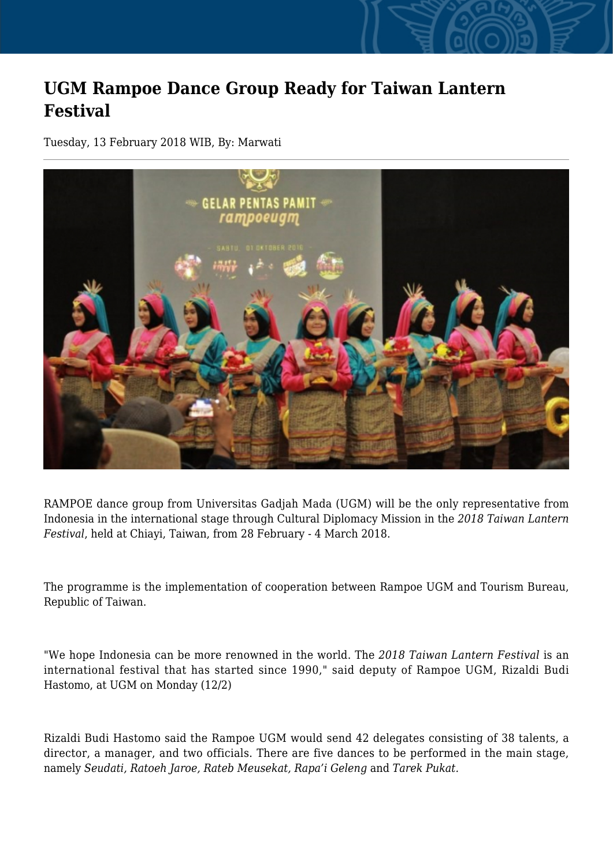## **UGM Rampoe Dance Group Ready for Taiwan Lantern Festival**

Tuesday, 13 February 2018 WIB, By: Marwati



RAMPOE dance group from Universitas Gadjah Mada (UGM) will be the only representative from Indonesia in the international stage through Cultural Diplomacy Mission in the *2018 Taiwan Lantern Festival*, held at Chiayi, Taiwan, from 28 February - 4 March 2018.

The programme is the implementation of cooperation between Rampoe UGM and Tourism Bureau, Republic of Taiwan.

"We hope Indonesia can be more renowned in the world. The *2018 Taiwan Lantern Festival* is an international festival that has started since 1990," said deputy of Rampoe UGM, Rizaldi Budi Hastomo, at UGM on Monday (12/2)

Rizaldi Budi Hastomo said the Rampoe UGM would send 42 delegates consisting of 38 talents, a director, a manager, and two officials. There are five dances to be performed in the main stage, namely *Seudati, Ratoeh Jaroe, Rateb Meusekat, Rapa'i Geleng* and *Tarek Pukat.*